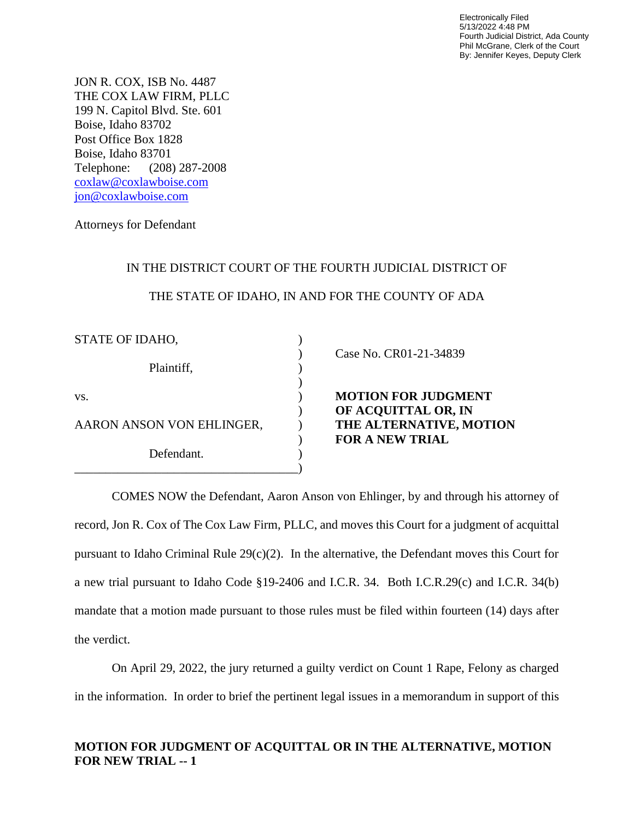Electronically Filed 5/13/2022 4:48 PM Fourth Judicial District, Ada County Phil McGrane, Clerk of the Court By: Jennifer Keyes, Deputy Clerk

JON R. COX, ISB No. 4487 THE COX LAW FIRM, PLLC 199 N. Capitol Blvd. Ste. 601 Boise, Idaho 83702 Post Office Box 1828 Boise, Idaho 83701 Telephone: (208) 287-2008 [coxlaw@coxlawboise.com](mailto:coxlaw@coxlawboise.com) [jon@coxlawboise.com](mailto:jon@coxlawboise.com)

Attorneys for Defendant

## IN THE DISTRICT COURT OF THE FOURTH JUDICIAL DISTRICT OF

## THE STATE OF IDAHO, IN AND FOR THE COUNTY OF ADA

| STATE OF IDAHO,           |                                                   |
|---------------------------|---------------------------------------------------|
| Plaintiff,                | Case No. CR01-21-34839                            |
| VS.                       | <b>MOTION FOR JUDGMENT</b><br>OF ACQUITTAL OR, IN |
| AARON ANSON VON EHLINGER, | THE ALTERNATIVE, MOTION<br><b>FOR A NEW TRIAL</b> |
| Defendant.                |                                                   |
|                           |                                                   |

COMES NOW the Defendant, Aaron Anson von Ehlinger, by and through his attorney of record, Jon R. Cox of The Cox Law Firm, PLLC, and moves this Court for a judgment of acquittal pursuant to Idaho Criminal Rule 29(c)(2). In the alternative, the Defendant moves this Court for a new trial pursuant to Idaho Code §19-2406 and I.C.R. 34. Both I.C.R.29(c) and I.C.R. 34(b) mandate that a motion made pursuant to those rules must be filed within fourteen (14) days after the verdict.

On April 29, 2022, the jury returned a guilty verdict on Count 1 Rape, Felony as charged in the information. In order to brief the pertinent legal issues in a memorandum in support of this

## **MOTION FOR JUDGMENT OF ACQUITTAL OR IN THE ALTERNATIVE, MOTION FOR NEW TRIAL -- 1**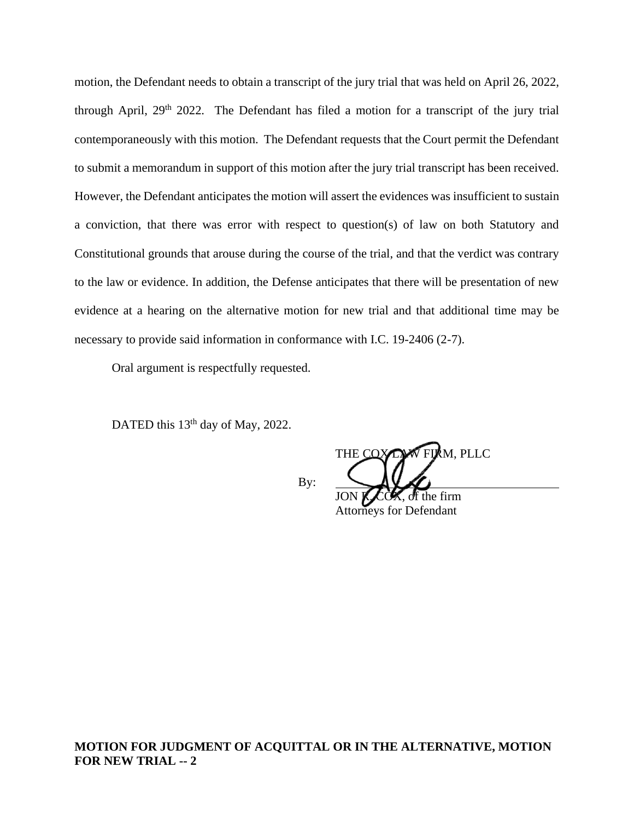motion, the Defendant needs to obtain a transcript of the jury trial that was held on April 26, 2022, through April, 29<sup>th</sup> 2022. The Defendant has filed a motion for a transcript of the jury trial contemporaneously with this motion. The Defendant requests that the Court permit the Defendant to submit a memorandum in support of this motion after the jury trial transcript has been received. However, the Defendant anticipates the motion will assert the evidences was insufficient to sustain a conviction, that there was error with respect to question(s) of law on both Statutory and Constitutional grounds that arouse during the course of the trial, and that the verdict was contrary to the law or evidence. In addition, the Defense anticipates that there will be presentation of new evidence at a hearing on the alternative motion for new trial and that additional time may be necessary to provide said information in conformance with I.C. 19-2406 (2-7).

Oral argument is respectfully requested.

DATED this  $13<sup>th</sup>$  day of May, 2022.

By:

THE COX LAW FIRM, PLLC

of the firm Attorneys for Defendant